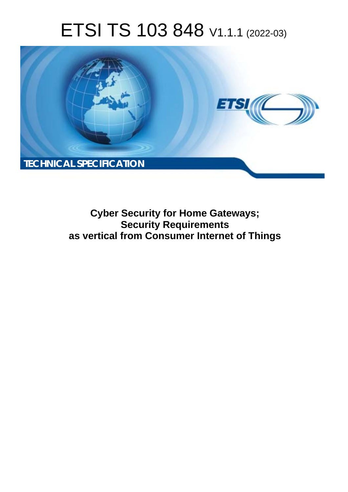# ETSI TS 103 848 V1.1.1 (2022-03)



**Cyber Security for Home Gateways; Security Requirements as vertical from Consumer Internet of Things**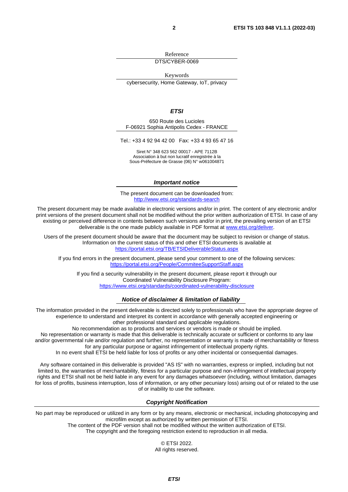Reference

DTS/CYBER-0069

Keywords

cybersecurity, Home Gateway, IoT, privacy

#### *ETSI*

650 Route des Lucioles F-06921 Sophia Antipolis Cedex - FRANCE

Tel.: +33 4 92 94 42 00 Fax: +33 4 93 65 47 16

Siret N° 348 623 562 00017 - APE 7112B Association à but non lucratif enregistrée à la Sous-Préfecture de Grasse (06) N° w061004871

#### *Important notice*

The present document can be downloaded from: <http://www.etsi.org/standards-search>

The present document may be made available in electronic versions and/or in print. The content of any electronic and/or print versions of the present document shall not be modified without the prior written authorization of ETSI. In case of any existing or perceived difference in contents between such versions and/or in print, the prevailing version of an ETSI deliverable is the one made publicly available in PDF format at [www.etsi.org/deliver.](http://www.etsi.org/deliver)

Users of the present document should be aware that the document may be subject to revision or change of status. Information on the current status of this and other ETSI documents is available at <https://portal.etsi.org/TB/ETSIDeliverableStatus.aspx>

If you find errors in the present document, please send your comment to one of the following services: <https://portal.etsi.org/People/CommiteeSupportStaff.aspx>

If you find a security vulnerability in the present document, please report it through our Coordinated Vulnerability Disclosure Program: <https://www.etsi.org/standards/coordinated-vulnerability-disclosure>

#### *Notice of disclaimer & limitation of liability*

The information provided in the present deliverable is directed solely to professionals who have the appropriate degree of experience to understand and interpret its content in accordance with generally accepted engineering or other professional standard and applicable regulations.

No recommendation as to products and services or vendors is made or should be implied.

No representation or warranty is made that this deliverable is technically accurate or sufficient or conforms to any law and/or governmental rule and/or regulation and further, no representation or warranty is made of merchantability or fitness for any particular purpose or against infringement of intellectual property rights.

In no event shall ETSI be held liable for loss of profits or any other incidental or consequential damages.

Any software contained in this deliverable is provided "AS IS" with no warranties, express or implied, including but not limited to, the warranties of merchantability, fitness for a particular purpose and non-infringement of intellectual property rights and ETSI shall not be held liable in any event for any damages whatsoever (including, without limitation, damages for loss of profits, business interruption, loss of information, or any other pecuniary loss) arising out of or related to the use of or inability to use the software.

#### *Copyright Notification*

No part may be reproduced or utilized in any form or by any means, electronic or mechanical, including photocopying and microfilm except as authorized by written permission of ETSI.

> The content of the PDF version shall not be modified without the written authorization of ETSI. The copyright and the foregoing restriction extend to reproduction in all media.

© ETSI 2022. All rights reserved.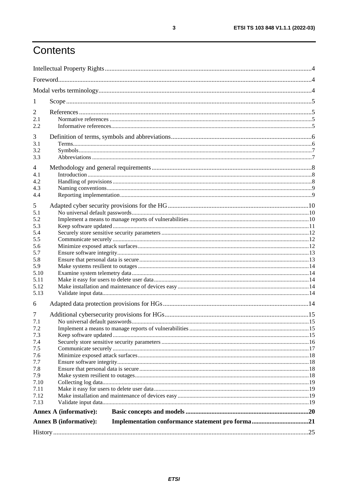# Contents

| 1            |                               |  |
|--------------|-------------------------------|--|
|              |                               |  |
| 2            |                               |  |
| 2.1<br>2.2   |                               |  |
|              |                               |  |
| 3            |                               |  |
| 3.1          |                               |  |
| 3.2          |                               |  |
| 3.3          |                               |  |
| 4            |                               |  |
| 4.1          |                               |  |
| 4.2          |                               |  |
| 4.3          |                               |  |
| 4.4          |                               |  |
| 5            |                               |  |
| 5.1          |                               |  |
| 5.2          |                               |  |
| 5.3          |                               |  |
| 5.4          |                               |  |
| 5.5          |                               |  |
| 5.6          |                               |  |
| 5.7          |                               |  |
| 5.8          |                               |  |
| 5.9          |                               |  |
| 5.10         |                               |  |
| 5.11<br>5.12 |                               |  |
| 5.13         |                               |  |
|              |                               |  |
| 6            |                               |  |
| 7            |                               |  |
| 7.1          |                               |  |
| 7.2          |                               |  |
| 7.3          |                               |  |
| 7.4          |                               |  |
| 7.5          |                               |  |
| 7.6          |                               |  |
| 7.7          |                               |  |
| 7.8<br>7.9   |                               |  |
| 7.10         |                               |  |
| 7.11         |                               |  |
| 7.12         |                               |  |
| 7.13         |                               |  |
|              | <b>Annex A (informative):</b> |  |
|              | <b>Annex B</b> (informative): |  |
|              |                               |  |
|              |                               |  |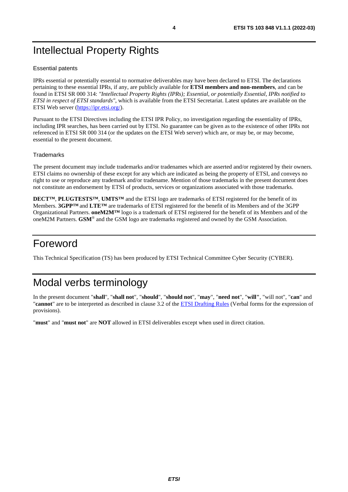# <span id="page-3-0"></span>Intellectual Property Rights

#### Essential patents

IPRs essential or potentially essential to normative deliverables may have been declared to ETSI. The declarations pertaining to these essential IPRs, if any, are publicly available for **ETSI members and non-members**, and can be found in ETSI SR 000 314: *"Intellectual Property Rights (IPRs); Essential, or potentially Essential, IPRs notified to ETSI in respect of ETSI standards"*, which is available from the ETSI Secretariat. Latest updates are available on the ETSI Web server ([https://ipr.etsi.org/\)](https://ipr.etsi.org/).

Pursuant to the ETSI Directives including the ETSI IPR Policy, no investigation regarding the essentiality of IPRs, including IPR searches, has been carried out by ETSI. No guarantee can be given as to the existence of other IPRs not referenced in ETSI SR 000 314 (or the updates on the ETSI Web server) which are, or may be, or may become, essential to the present document.

#### **Trademarks**

The present document may include trademarks and/or tradenames which are asserted and/or registered by their owners. ETSI claims no ownership of these except for any which are indicated as being the property of ETSI, and conveys no right to use or reproduce any trademark and/or tradename. Mention of those trademarks in the present document does not constitute an endorsement by ETSI of products, services or organizations associated with those trademarks.

**DECT™**, **PLUGTESTS™**, **UMTS™** and the ETSI logo are trademarks of ETSI registered for the benefit of its Members. **3GPP™** and **LTE™** are trademarks of ETSI registered for the benefit of its Members and of the 3GPP Organizational Partners. **oneM2M™** logo is a trademark of ETSI registered for the benefit of its Members and of the oneM2M Partners. **GSM**® and the GSM logo are trademarks registered and owned by the GSM Association.

# Foreword

This Technical Specification (TS) has been produced by ETSI Technical Committee Cyber Security (CYBER).

# Modal verbs terminology

In the present document "**shall**", "**shall not**", "**should**", "**should not**", "**may**", "**need not**", "**will"**, "will not", "**can**" and "**cannot**" are to be interpreted as described in clause 3.2 of the [ETSI Drafting Rules](https://portal.etsi.org/Services/editHelp!/Howtostart/ETSIDraftingRules.aspx) (Verbal forms for the expression of provisions).

"**must**" and "**must not**" are **NOT** allowed in ETSI deliverables except when used in direct citation.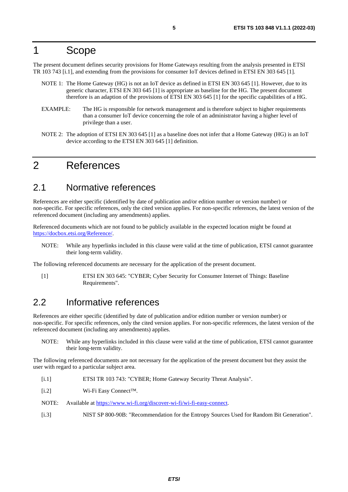### <span id="page-4-0"></span>1 Scope

The present document defines security provisions for Home Gateways resulting from the analysis presented in ETSI TR 103 743 [i.1], and extending from the provisions for consumer IoT devices defined in ETSI EN 303 645 [1].

- NOTE 1: The Home Gateway (HG) is not an IoT device as defined in ETSI EN 303 645 [1]. However, due to its generic character, ETSI EN 303 645 [1] is appropriate as baseline for the HG. The present document therefore is an adaption of the provisions of ETSI EN 303 645 [1] for the specific capabilities of a HG.
- EXAMPLE: The HG is responsible for network management and is therefore subject to higher requirements than a consumer IoT device concerning the role of an administrator having a higher level of privilege than a user.
- NOTE 2: The adoption of ETSI EN 303 645 [1] as a baseline does not infer that a Home Gateway (HG) is an IoT device according to the ETSI EN 303 645 [1] definition.

### 2 References

### 2.1 Normative references

References are either specific (identified by date of publication and/or edition number or version number) or non-specific. For specific references, only the cited version applies. For non-specific references, the latest version of the referenced document (including any amendments) applies.

Referenced documents which are not found to be publicly available in the expected location might be found at <https://docbox.etsi.org/Reference/>.

NOTE: While any hyperlinks included in this clause were valid at the time of publication, ETSI cannot guarantee their long-term validity.

The following referenced documents are necessary for the application of the present document.

[1] ETSI EN 303 645: "CYBER; Cyber Security for Consumer Internet of Things: Baseline Requirements".

### 2.2 Informative references

References are either specific (identified by date of publication and/or edition number or version number) or non-specific. For specific references, only the cited version applies. For non-specific references, the latest version of the referenced document (including any amendments) applies.

NOTE: While any hyperlinks included in this clause were valid at the time of publication, ETSI cannot guarantee their long-term validity.

The following referenced documents are not necessary for the application of the present document but they assist the user with regard to a particular subject area.

- [i.1] ETSI TR 103 743: "CYBER; Home Gateway Security Threat Analysis".
- [i.2] Wi-Fi Easy Connect™.
- NOTE: Available at<https://www.wi-fi.org/discover-wi-fi/wi-fi-easy-connect>.
- [i.3] NIST SP 800-90B: "Recommendation for the Entropy Sources Used for Random Bit Generation".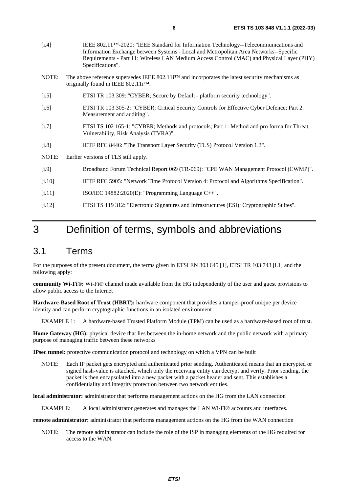<span id="page-5-0"></span>

| $[1.4]$ | IEEE 802.11 <sup>TM</sup> -2020: "IEEE Standard for Information Technology--Telecommunications and<br>Information Exchange between Systems - Local and Metropolitan Area Networks--Specific<br>Requirements - Part 11: Wireless LAN Medium Access Control (MAC) and Physical Layer (PHY)<br>Specifications". |  |  |
|---------|--------------------------------------------------------------------------------------------------------------------------------------------------------------------------------------------------------------------------------------------------------------------------------------------------------------|--|--|
| NOTE:   | The above reference supersedes IEEE 802.11 $i^{\text{TM}}$ and incorporates the latest security mechanisms as<br>originally found in IEEE 802.11iTM.                                                                                                                                                         |  |  |
| $[1.5]$ | ETSI TR 103 309: "CYBER; Secure by Default - platform security technology".                                                                                                                                                                                                                                  |  |  |
| $[1.6]$ | ETSI TR 103 305-2: "CYBER; Critical Security Controls for Effective Cyber Defence; Part 2:<br>Measurement and auditing".                                                                                                                                                                                     |  |  |
| $[1.7]$ | ETSI TS 102 165-1: "CYBER; Methods and protocols; Part 1: Method and pro forma for Threat,<br>Vulnerability, Risk Analysis (TVRA)".                                                                                                                                                                          |  |  |
| [i.8]   | IETF RFC 8446: "The Transport Layer Security (TLS) Protocol Version 1.3".                                                                                                                                                                                                                                    |  |  |
| NOTE:   | Earlier versions of TLS still apply.                                                                                                                                                                                                                                                                         |  |  |
| [i.9]   | Broadband Forum Technical Report 069 (TR-069): "CPE WAN Management Protocol (CWMP)".                                                                                                                                                                                                                         |  |  |
| [i.10]  | IETF RFC 5905: "Network Time Protocol Version 4: Protocol and Algorithms Specification".                                                                                                                                                                                                                     |  |  |
| [i.11]  | ISO/IEC 14882:2020(E): "Programming Language C++".                                                                                                                                                                                                                                                           |  |  |
| [1.12]  | ETSI TS 119 312: "Electronic Signatures and Infrastructures (ESI); Cryptographic Suites".                                                                                                                                                                                                                    |  |  |

# 3 Definition of terms, symbols and abbreviations

### 3.1 Terms

For the purposes of the present document, the terms given in ETSI EN 303 645 [\[1](#page-4-0)], ETSI TR 103 743 [[i.1](#page-4-0)] and the following apply:

**community Wi-Fi®:** Wi-Fi® channel made available from the HG independently of the user and guest provisions to allow public access to the Internet

**Hardware-Based Root of Trust (HBRT):** hardware component that provides a tamper-proof unique per device identity and can perform cryptographic functions in an isolated environment

EXAMPLE 1: A hardware-based Trusted Platform Module (TPM) can be used as a hardware-based root of trust.

**Home Gateway (HG):** physical device that lies between the in-home network and the public network with a primary purpose of managing traffic between these networks

**IPsec tunnel:** protective communication protocol and technology on which a VPN can be built

NOTE: Each IP packet gets encrypted and authenticated prior sending. Authenticated means that an encrypted or signed hash-value is attached, which only the receiving entity can decrypt and verify. Prior sending, the packet is then encapsulated into a new packet with a packet header and sent. This establishes a confidentiality and integrity protection between two network entities.

**local administrator:** administrator that performs management actions on the HG from the LAN connection

EXAMPLE: A local administrator generates and manages the LAN Wi-Fi® accounts and interfaces.

**remote administrator:** administrator that performs management actions on the HG from the WAN connection

NOTE: The remote administrator can include the role of the ISP in managing elements of the HG required for access to the WAN.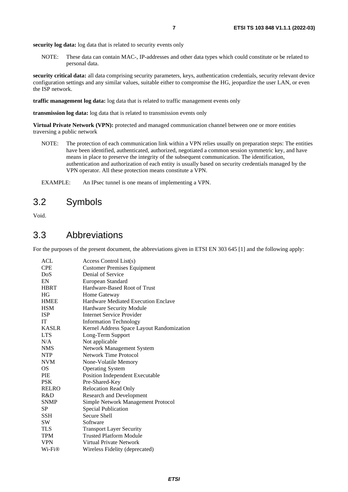<span id="page-6-0"></span>**security log data:** log data that is related to security events only

NOTE: These data can contain MAC-, IP-addresses and other data types which could constitute or be related to personal data.

**security critical data:** all data comprising security parameters, keys, authentication credentials, security relevant device configuration settings and any similar values, suitable either to compromise the HG, jeopardize the user LAN, or even the ISP network.

**traffic management log data:** log data that is related to traffic management events only

**transmission log data:** log data that is related to transmission events only

**Virtual Private Network (VPN):** protected and managed communication channel between one or more entities traversing a public network

NOTE: The protection of each communication link within a VPN relies usually on preparation steps: The entities have been identified, authenticated, authorized, negotiated a common session symmetric key, and have means in place to preserve the integrity of the subsequent communication. The identification, authentication and authorization of each entity is usually based on security credentials managed by the VPN operator. All these protection means constitute a VPN.

EXAMPLE: An IPsec tunnel is one means of implementing a VPN.

### 3.2 Symbols

Void.

### 3.3 Abbreviations

For the purposes of the present document, the abbreviations given in ETSI EN 303 645 [\[1](#page-4-0)] and the following apply:

| <b>ACL</b>   | Access Control List(s)                    |
|--------------|-------------------------------------------|
| <b>CPE</b>   | <b>Customer Premises Equipment</b>        |
| DoS          | Denial of Service                         |
| EN           | European Standard                         |
| <b>HBRT</b>  | Hardware-Based Root of Trust              |
| HG           | Home Gateway                              |
| <b>HMEE</b>  | Hardware Mediated Execution Enclave       |
| <b>HSM</b>   | Hardware Security Module                  |
| <b>ISP</b>   | Internet Service Provider                 |
| <b>IT</b>    | <b>Information Technology</b>             |
| <b>KASLR</b> | Kernel Address Space Layout Randomization |
| <b>LTS</b>   | Long-Term Support                         |
| N/A          | Not applicable                            |
| <b>NMS</b>   | Network Management System                 |
| <b>NTP</b>   | Network Time Protocol                     |
| <b>NVM</b>   | None-Volatile Memory                      |
| <b>OS</b>    | <b>Operating System</b>                   |
| <b>PIE</b>   | Position Independent Executable           |
| <b>PSK</b>   | Pre-Shared-Key                            |
| <b>RELRO</b> | <b>Relocation Read Only</b>               |
| R&D          | <b>Research and Development</b>           |
| <b>SNMP</b>  | Simple Network Management Protocol        |
| SP           | <b>Special Publication</b>                |
| <b>SSH</b>   | Secure Shell                              |
| <b>SW</b>    | Software                                  |
| <b>TLS</b>   | <b>Transport Layer Security</b>           |
| <b>TPM</b>   | <b>Trusted Platform Module</b>            |
| <b>VPN</b>   | Virtual Private Network                   |
| $Wi-Fi@$     | Wireless Fidelity (deprecated)            |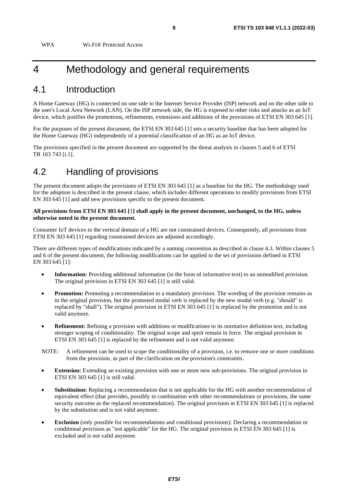<span id="page-7-0"></span>WPA Wi-Fi® Protected Access

## 4 Methodology and general requirements

### 4.1 Introduction

A Home Gateway (HG) is connected on one side to the Internet Service Provider (ISP) network and on the other side to the user's Local Area Network (LAN). On the ISP network side, the HG is exposed to other risks and attacks as an IoT device, which justifies the promotions, refinements, extensions and additions of the provisions of ETSI EN 303 645 [\[1](#page-4-0)].

For the purposes of the present document, the ETSI EN 303 645 [\[1](#page-4-0)] sets a security baseline that has been adopted for the Home Gateway (HG) independently of a potential classification of an HG as an IoT device.

The provisions specified in the present document are supported by the threat analysis in clauses 5 and 6 of ETSI TR 103 743 [\[i.1](#page-4-0)].

### 4.2 Handling of provisions

The present document adopts the provisions of ETSI EN 303 645 [\[1](#page-4-0)] as a baseline for the HG. The methodology used for the adoption is described in the present clause, which includes different operations to modify provisions from ETSI EN 303 645 [[1](#page-4-0)] and add new provisions specific to the present document.

#### **All provisions from ETSI EN 303 645 [**[1](#page-4-0)**] shall apply in the present document, unchanged, to the HG, unless otherwise noted in the present document.**

Consumer IoT devices in the vertical domain of a HG are not constrained devices. Consequently, all provisions from ETSI EN 303 645 [\[1](#page-4-0)] regarding constrained devices are adjusted accordingly.

There are different types of modifications indicated by a naming convention as described in clause 4.3. Within clauses 5 and 6 of the present document, the following modifications can be applied to the set of provisions defined in ETSI EN 303 645 [[1](#page-4-0)]:

- **Information:** Providing additional information (in the form of informative text) to an unmodified provision. The original provision in ETSI EN 303 645 [\[1](#page-4-0)] is still valid.
- **Promotion:** Promoting a recommendation to a mandatory provision. The wording of the provision remains as in the original provision, but the promoted modal verb is replaced by the new modal verb (e.g. "should" is replaced by "shall"). The original provision in ETSI EN 303 645 [[1\]](#page-4-0) is replaced by the promotion and is not valid anymore.
- **Refinement:** Refining a provision with additions or modifications to its normative definition text, including stronger scoping of conditionality. The original scope and spirit remain in force. The original provision in ETSI EN 303 645 [\[1](#page-4-0)] is replaced by the refinement and is not valid anymore.
- NOTE: A refinement can be used to scope the conditionality of a provision, i.e. to remove one or more conditions from the provision, as part of the clarification on the provision's constraints.
- **Extension:** Extending an existing provision with one or more new sub-provisions. The original provision in ETSI EN 303 645 [\[1](#page-4-0)] is still valid.
- **Substitution:** Replacing a recommendation that is not applicable for the HG with another recommendation of equivalent effect (that provides, possibly in combination with other recommendations or provisions, the same security outcome as the replaced recommendation). The original provision in ETSI EN 303 645 [[1](#page-4-0)] is replaced by the substitution and is not valid anymore.
- **Exclusion** (only possible for recommendations and conditional provisions): Declaring a recommendation or conditional provision as "not applicable" for the HG. The original provision in ETSI EN 303 645 [\[1](#page-4-0)] is excluded and is not valid anymore.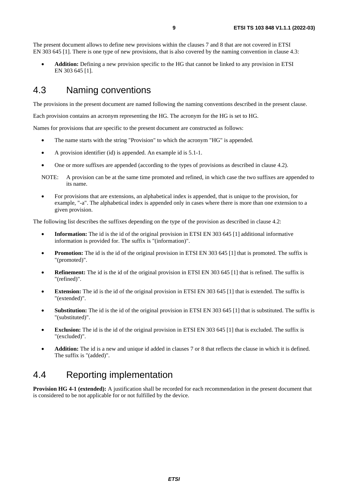<span id="page-8-0"></span>The present document allows to define new provisions within the clauses 7 and 8 that are not covered in ETSI EN 303 645 [[1](#page-4-0)]. There is one type of new provisions, that is also covered by the naming convention in clause 4.3:

• **Addition:** Defining a new provision specific to the HG that cannot be linked to any provision in ETSI EN 303 645 [\[1](#page-4-0)].

### 4.3 Naming conventions

The provisions in the present document are named following the naming conventions described in the present clause.

Each provision contains an acronym representing the HG. The acronym for the HG is set to HG.

Names for provisions that are specific to the present document are constructed as follows:

- The name starts with the string "Provision" to which the acronym "HG" is appended.
- A provision identifier (id) is appended. An example id is 5.1-1.
- One or more suffixes are appended (according to the types of provisions as described in clause 4.2).
- NOTE: A provision can be at the same time promoted and refined, in which case the two suffixes are appended to its name.
- For provisions that are extensions, an alphabetical index is appended, that is unique to the provision, for example, "-a". The alphabetical index is appended only in cases where there is more than one extension to a given provision.

The following list describes the suffixes depending on the type of the provision as described in clause 4.2:

- **Information:** The id is the id of the original provision in ETSI EN 303 645 [\[1](#page-4-0)] additional informative information is provided for. The suffix is "(information)".
- **Promotion:** The id is the id of the original provision in ETSI EN 303 645 [[1\]](#page-4-0) that is promoted. The suffix is "(promoted)".
- **Refinement:** The id is the id of the original provision in ETSI EN 303 645 [\[1](#page-4-0)] that is refined. The suffix is "(refined)".
- **Extension:** The id is the id of the original provision in ETSI EN 303 645 [\[1](#page-4-0)] that is extended. The suffix is "(extended)".
- **Substitution:** The id is the id of the original provision in ETSI EN 303 645 [\[1](#page-4-0)] that is substituted. The suffix is "(substituted)".
- **Exclusion:** The id is the id of the original provision in ETSI EN 303 645 [[1\]](#page-4-0) that is excluded. The suffix is "(excluded)".
- **Addition:** The id is a new and unique id added in clauses 7 or 8 that reflects the clause in which it is defined. The suffix is "(added)".

### 4.4 Reporting implementation

**Provision HG 4-1 (extended):** A justification shall be recorded for each recommendation in the present document that is considered to be not applicable for or not fulfilled by the device.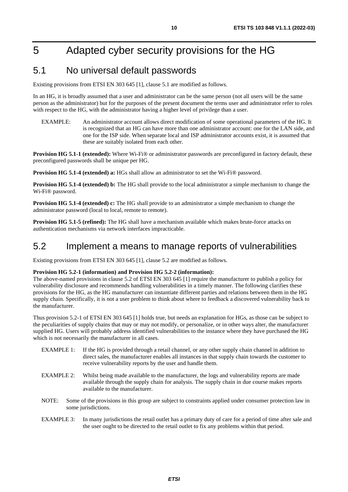# <span id="page-9-0"></span>5 Adapted cyber security provisions for the HG

### 5.1 No universal default passwords

Existing provisions from ETSI EN 303 645 [\[1](#page-4-0)], clause 5.1 are modified as follows.

In an HG, it is broadly assumed that a user and administrator can be the same person (not all users will be the same person as the administrator) but for the purposes of the present document the terms user and administrator refer to roles with respect to the HG, with the administrator having a higher level of privilege than a user.

EXAMPLE: An administrator account allows direct modification of some operational parameters of the HG. It is recognized that an HG can have more than one administrator account: one for the LAN side, and one for the ISP side. When separate local and ISP administrator accounts exist, it is assumed that these are suitably isolated from each other.

**Provision HG 5.1-1 (extended):** Where Wi-Fi® or administrator passwords are preconfigured in factory default, these preconfigured passwords shall be unique per HG.

**Provision HG 5.1-4 (extended) a:** HGs shall allow an administrator to set the Wi-Fi® password.

**Provision HG 5.1-4 (extended) b:** The HG shall provide to the local administrator a simple mechanism to change the Wi-Fi® password.

**Provision HG 5.1-4 (extended) c:** The HG shall provide to an administrator a simple mechanism to change the administrator password (local to local, remote to remote).

**Provision HG 5.1-5 (refined):** The HG shall have a mechanism available which makes brute-force attacks on authentication mechanisms via network interfaces impracticable.

### 5.2 Implement a means to manage reports of vulnerabilities

Existing provisions from ETSI EN 303 645 [\[1](#page-4-0)], clause 5.2 are modified as follows.

#### **Provision HG 5.2-1 (information) and Provision HG 5.2-2 (information):**

The above-named provisions in clause 5.2 of ETSI EN 303 645 [\[1](#page-4-0)] require the manufacturer to publish a policy for vulnerability disclosure and recommends handling vulnerabilities in a timely manner. The following clarifies these provisions for the HG, as the HG manufacturer can instantiate different parties and relations between them in the HG supply chain. Specifically, it is not a user problem to think about where to feedback a discovered vulnerability back to the manufacturer.

Thus provision 5.2-1 of ETSI EN 303 645 [\[1](#page-4-0)] holds true, but needs an explanation for HGs, as those can be subject to the peculiarities of supply chains that may or may not modify, or personalize, or in other ways alter, the manufacturer supplied HG. Users will probably address identified vulnerabilities to the instance where they have purchased the HG which is not necessarily the manufacturer in all cases.

- EXAMPLE 1: If the HG is provided through a retail channel, or any other supply chain channel in addition to direct sales, the manufacturer enables all instances in that supply chain towards the customer to receive vulnerability reports by the user and handle them.
- EXAMPLE 2: Whilst being made available to the manufacturer, the logs and vulnerability reports are made available through the supply chain for analysis. The supply chain in due course makes reports available to the manufacturer.
- NOTE: Some of the provisions in this group are subject to constraints applied under consumer protection law in some jurisdictions.
- EXAMPLE 3: In many jurisdictions the retail outlet has a primary duty of care for a period of time after sale and the user ought to be directed to the retail outlet to fix any problems within that period.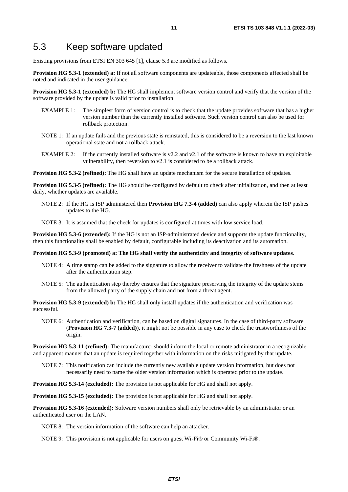### <span id="page-10-0"></span>5.3 Keep software updated

Existing provisions from ETSI EN 303 645 [\[1](#page-4-0)], clause 5.3 are modified as follows.

**Provision HG 5.3-1 (extended) a:** If not all software components are updateable, those components affected shall be noted and indicated in the user guidance.

**Provision HG 5.3-1 (extended) b:** The HG shall implement software version control and verify that the version of the software provided by the update is valid prior to installation.

- EXAMPLE 1: The simplest form of version control is to check that the update provides software that has a higher version number than the currently installed software. Such version control can also be used for rollback protection.
- NOTE 1: If an update fails and the previous state is reinstated, this is considered to be a reversion to the last known operational state and not a rollback attack.
- EXAMPLE 2: If the currently installed software is v2.2 and v2.1 of the software is known to have an exploitable vulnerability, then reversion to v2.1 is considered to be a rollback attack.

**Provision HG 5.3-2 (refined):** The HG shall have an update mechanism for the secure installation of updates.

**Provision HG 5.3-5 (refined):** The HG should be configured by default to check after initialization, and then at least daily, whether updates are available.

NOTE 2: If the HG is ISP administered then **Provision HG 7.3-4 (added)** can also apply wherein the ISP pushes updates to the HG.

NOTE 3: It is assumed that the check for updates is configured at times with low service load.

**Provision HG 5.3-6 (extended):** If the HG is not an ISP-administrated device and supports the update functionality, then this functionality shall be enabled by default, configurable including its deactivation and its automation.

#### **Provision HG 5.3-9 (promoted) a: The HG shall verify the authenticity and integrity of software updates**.

- NOTE 4: A time stamp can be added to the signature to allow the receiver to validate the freshness of the update after the authentication step.
- NOTE 5: The authentication step thereby ensures that the signature preserving the integrity of the update stems from the allowed party of the supply chain and not from a threat agent.

**Provision HG 5.3-9 (extended) b:** The HG shall only install updates if the authentication and verification was successful.

NOTE 6: Authentication and verification, can be based on digital signatures. In the case of third-party software (**Provision HG 7.3-7 (added)**), it might not be possible in any case to check the trustworthiness of the origin.

**Provision HG 5.3-11 (refined):** The manufacturer should inform the local or remote administrator in a recognizable and apparent manner that an update is required together with information on the risks mitigated by that update.

NOTE 7: This notification can include the currently new available update version information, but does not necessarily need to name the older version information which is operated prior to the update.

**Provision HG 5.3-14 (excluded):** The provision is not applicable for HG and shall not apply.

**Provision HG 5.3-15 (excluded):** The provision is not applicable for HG and shall not apply.

**Provision HG 5.3-16 (extended):** Software version numbers shall only be retrievable by an administrator or an authenticated user on the LAN.

NOTE 8: The version information of the software can help an attacker.

NOTE 9: This provision is not applicable for users on guest Wi-Fi® or Community Wi-Fi®.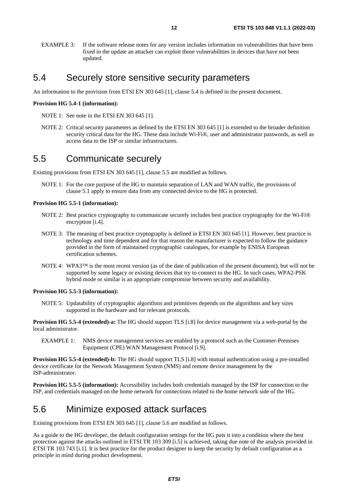<span id="page-11-0"></span>EXAMPLE 3: If the software release notes for any version includes information on vulnerabilities that have been fixed in the update an attacker can exploit those vulnerabilities in devices that have not been updated.

### 5.4 Securely store sensitive security parameters

An information to the provision from ETSI EN 303 645 [[1\]](#page-4-0), clause 5.4 is defined in the present document.

#### **Provision HG 5.4-1 (information):**

- NOTE 1: See note in the ETSI EN 303 645 [\[1](#page-4-0)].
- NOTE 2: Critical security parameters as defined by the ETSI EN 303 645 [[1\]](#page-4-0) is extended to the broader definition security critical data for the HG. These data include Wi-Fi®, user and administrator passwords, as well as access data to the ISP or similar infrastructures.

### 5.5 Communicate securely

Existing provisions from ETSI EN 303 645 [\[1](#page-4-0)], clause 5.5 are modified as follows.

NOTE 1: For the core purpose of the HG to maintain separation of LAN and WAN traffic, the provisions of clause 5.1 apply to ensure data from any connected device to the HG is protected.

#### **Provision HG 5.5-1 (information):**

- NOTE 2: Best practice cryptography to communicate securely includes best practice cryptography for the Wi-Fi® encryption [\[i.4](#page-5-0)].
- NOTE 3: The meaning of best practice cryptography is defined in ETSI EN 303 645 [\[1](#page-4-0)]. However, best practice is technology and time dependent and for that reason the manufacturer is expected to follow the guidance provided in the form of maintained cryptographic catalogues, for example by ENISA European certification schemes.
- NOTE 4: WPA3™ is the most recent version (as of the date of publication of the present document), but will not be supported by some legacy or existing devices that try to connect to the HG. In such cases, WPA2-PSK hybrid mode or similar is an appropriate compromise between security and availability.

#### **Provision HG 5.5-3 (information):**

NOTE 5: Updatability of cryptographic algorithms and primitives depends on the algorithms and key sizes supported in the hardware and for relevant protocols.

**Provision HG 5.5-4 (extended)-a:** The HG should support TLS [\[i.8\]](#page-5-0) for device management via a web-portal by the local administrator.

EXAMPLE 1: NMS device management services are enabled by a protocol such as the Customer-Premises Equipment (CPE) WAN Management Protocol [\[i.9](#page-5-0)].

**Provision HG 5.5-4 (extended)-b:** The HG should support TLS [[i.8](#page-5-0)] with mutual authentication using a pre-installed device certificate for the Network Management System (NMS) and remote device management by the ISP-administrator.

**Provision HG 5.5-5 (information):** Accessibility includes both credentials managed by the ISP for connection to the ISP, and credentials managed on the home network for connections related to the home network side of the HG.

### 5.6 Minimize exposed attack surfaces

Existing provisions from ETSI EN 303 645 [\[1](#page-4-0)], clause 5.6 are modified as follows.

As a guide to the HG developer, the default configuration settings for the HG puts it into a condition where the best protection against the attacks outlined in ETSI TR 103 309 [\[i.5](#page-5-0)] is achieved, taking due note of the analysis provided in ETSI TR 103 743 [[i.1](#page-4-0)]. It is best practice for the product designer to keep the security by default configuration as a principle in mind during product development.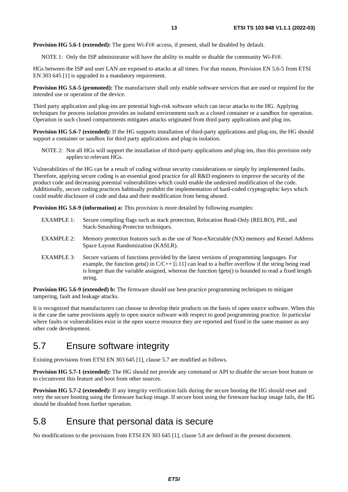<span id="page-12-0"></span>**Provision HG 5.6-1 (extended):** The guest Wi-Fi® access, if present, shall be disabled by default.

NOTE 1: Only the ISP administrator will have the ability to enable or disable the community Wi-Fi®.

HGs between the ISP and user LAN are exposed to attacks at all times. For that reason, Provision EN 5.6-5 from ETSI EN 303 645 [[1](#page-4-0)] is upgraded to a mandatory requirement.

**Provision HG 5.6-5 (promoted):** The manufacturer shall only enable software services that are used or required for the intended use or operation of the device.

Third party application and plug-ins are potential high-risk software which can incur attacks to the HG. Applying techniques for process isolation provides an isolated environment such as a closed container or a sandbox for operation. Operation in such closed compartments mitigates attacks originated from third party applications and plug ins.

**Provision HG 5.6-7 (extended):** If the HG supports installation of third-party applications and plug-ins, the HG should support a container or sandbox for third party applications and plug-in isolation.

NOTE 2: Not all HGs will support the installation of third-party applications and plug-ins, thus this provision only applies to relevant HGs.

Vulnerabilities of the HG can be a result of coding without security considerations or simply by implemented faults. Therefore, applying secure coding is an essential good practice for all R&D engineers to improve the security of the product code and decreasing potential vulnerabilities which could enable the undesired modification of the code. Additionally, secure coding practices habitually prohibit the implementation of hard-coded cryptographic keys which could enable disclosure of code and data and their modification from being abused.

**Provision HG 5.6-9 (information) a:** This provision is more detailed by following examples:

- EXAMPLE 1: Secure compiling flags such as stack protection, Relocation Read-Only (RELRO), PIE, and Stack-Smashing-Protector techniques.
- EXAMPLE 2: Memory protection features such as the use of Non-eXecutable (NX) memory and Kernel Address Space Layout Randomization (KASLR).
- EXAMPLE 3: Secure variants of functions provided by the latest versions of programming languages. For example, the function gets() in  $C/C++$  [[i.11](#page-5-0)] can lead to a buffer overflow if the string being read is longer than the variable assigned, whereas the function fgets() is bounded to read a fixed length string.

**Provision HG 5.6-9 (extended) b:** The firmware should use best-practice programming techniques to mitigate tampering, fault and leakage attacks.

It is recognized that manufacturers can choose to develop their products on the basis of open source software. When this is the case the same provisions apply to open source software with respect to good programming practice. In particular where faults or vulnerabilities exist in the open source resource they are reported and fixed in the same manner as any other code development.

### 5.7 Ensure software integrity

Existing provisions from ETSI EN 303 645 [\[1](#page-4-0)], clause 5.7 are modified as follows.

**Provision HG 5.7-1 (extended):** The HG should not provide any command or API to disable the secure boot feature or to circumvent this feature and boot from other sources.

**Provision HG 5.7-2 (extended):** If any integrity verification fails during the secure booting the HG should reset and retry the secure booting using the firmware backup image. If secure boot using the firmware backup image fails, the HG should be disabled from further operation.

### 5.8 Ensure that personal data is secure

No modifications to the provisions from ETSI EN 303 645 [[1\]](#page-4-0), clause 5.8 are defined in the present document.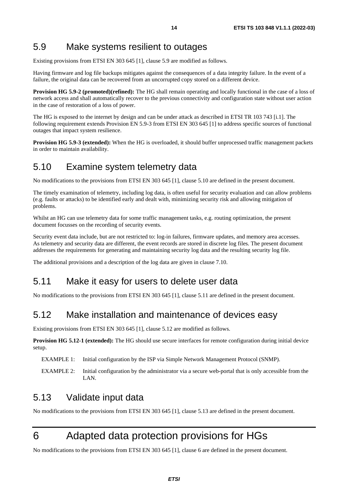### <span id="page-13-0"></span>5.9 Make systems resilient to outages

Existing provisions from ETSI EN 303 645 [\[1](#page-4-0)], clause 5.9 are modified as follows.

Having firmware and log file backups mitigates against the consequences of a data integrity failure. In the event of a failure, the original data can be recovered from an uncorrupted copy stored on a different device.

**Provision HG 5.9-2 (promoted)(refined):** The HG shall remain operating and locally functional in the case of a loss of network access and shall automatically recover to the previous connectivity and configuration state without user action in the case of restoration of a loss of power.

The HG is exposed to the internet by design and can be under attack as described in ETSI TR 103 743 [\[i.1\]](#page-4-0). The following requirement extends Provision EN 5.9-3 from ETSI EN 303 645 [\[1](#page-4-0)] to address specific sources of functional outages that impact system resilience.

**Provision HG 5.9-3 (extended):** When the HG is overloaded, it should buffer unprocessed traffic management packets in order to maintain availability.

### 5.10 Examine system telemetry data

No modifications to the provisions from ETSI EN 303 645 [[1\]](#page-4-0), clause 5.10 are defined in the present document.

The timely examination of telemetry, including log data, is often useful for security evaluation and can allow problems (e.g. faults or attacks) to be identified early and dealt with, minimizing security risk and allowing mitigation of problems.

Whilst an HG can use telemetry data for some traffic management tasks, e.g. routing optimization, the present document focusses on the recording of security events.

Security event data include, but are not restricted to: log-in failures, firmware updates, and memory area accesses. As telemetry and security data are different, the event records are stored in discrete log files. The present document addresses the requirements for generating and maintaining security log data and the resulting security log file.

The additional provisions and a description of the log data are given in clause 7.10.

### 5.11 Make it easy for users to delete user data

No modifications to the provisions from ETSI EN 303 645 [[1\]](#page-4-0), clause 5.11 are defined in the present document.

### 5.12 Make installation and maintenance of devices easy

Existing provisions from ETSI EN 303 645 [\[1](#page-4-0)], clause 5.12 are modified as follows.

**Provision HG 5.12-1 (extended):** The HG should use secure interfaces for remote configuration during initial device setup.

EXAMPLE 1: Initial configuration by the ISP via Simple Network Management Protocol (SNMP).

EXAMPLE 2: Initial configuration by the administrator via a secure web-portal that is only accessible from the  $I \Delta N$ 

### 5.13 Validate input data

No modifications to the provisions from ETSI EN 303 645 [[1\]](#page-4-0), clause 5.13 are defined in the present document.

# 6 Adapted data protection provisions for HGs

No modifications to the provisions from ETSI EN 303 645 [[1\]](#page-4-0), clause 6 are defined in the present document.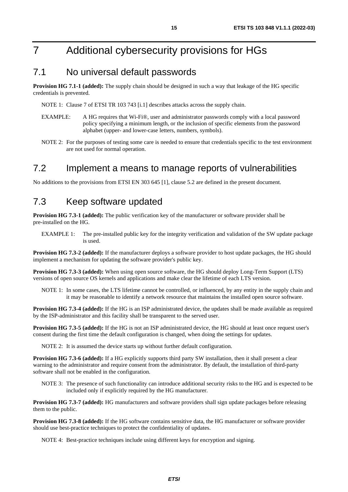# <span id="page-14-0"></span>7 Additional cybersecurity provisions for HGs

### 7.1 No universal default passwords

**Provision HG 7.1-1 (added):** The supply chain should be designed in such a way that leakage of the HG specific credentials is prevented.

NOTE 1: Clause 7 of ETSI TR 103 743 [[i.1\]](#page-4-0) describes attacks across the supply chain.

- EXAMPLE: A HG requires that Wi-Fi®, user and administrator passwords comply with a local password policy specifying a minimum length, or the inclusion of specific elements from the password alphabet (upper- and lower-case letters, numbers, symbols).
- NOTE 2: For the purposes of testing some care is needed to ensure that credentials specific to the test environment are not used for normal operation.

### 7.2 Implement a means to manage reports of vulnerabilities

No additions to the provisions from ETSI EN 303 645 [\[1](#page-4-0)], clause 5.2 are defined in the present document.

### 7.3 Keep software updated

**Provision HG 7.3-1 (added):** The public verification key of the manufacturer or software provider shall be pre-installed on the HG.

EXAMPLE 1: The pre-installed public key for the integrity verification and validation of the SW update package is used.

**Provision HG 7.3-2 (added):** If the manufacturer deploys a software provider to host update packages, the HG should implement a mechanism for updating the software provider's public key.

**Provision HG 7.3-3 (added):** When using open source software, the HG should deploy Long-Term Support (LTS) versions of open source OS kernels and applications and make clear the lifetime of each LTS version.

NOTE 1: In some cases, the LTS lifetime cannot be controlled, or influenced, by any entity in the supply chain and it may be reasonable to identify a network resource that maintains the installed open source software.

**Provision HG 7.3-4 (added):** If the HG is an ISP administrated device, the updates shall be made available as required by the ISP-administrator and this facility shall be transparent to the served user.

**Provision HG 7.3-5 (added):** If the HG is not an ISP administrated device, the HG should at least once request user's consent during the first time the default configuration is changed, when doing the settings for updates.

NOTE 2: It is assumed the device starts up without further default configuration.

**Provision HG 7.3-6 (added):** If a HG explicitly supports third party SW installation, then it shall present a clear warning to the administrator and require consent from the administrator. By default, the installation of third-party software shall not be enabled in the configuration.

NOTE 3: The presence of such functionality can introduce additional security risks to the HG and is expected to be included only if explicitly required by the HG manufacturer.

**Provision HG 7.3-7 (added):** HG manufacturers and software providers shall sign update packages before releasing them to the public.

**Provision HG 7.3-8 (added):** If the HG software contains sensitive data, the HG manufacturer or software provider should use best-practice techniques to protect the confidentiality of updates.

NOTE 4: Best-practice techniques include using different keys for encryption and signing.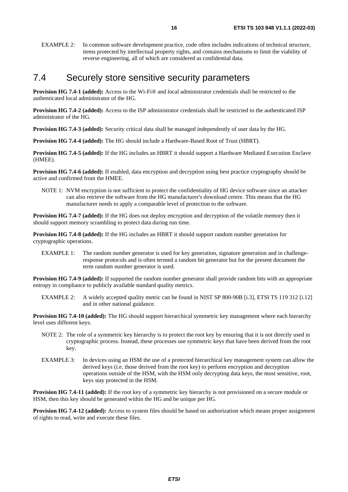<span id="page-15-0"></span>EXAMPLE 2: In common software development practice, code often includes indications of technical structure, items protected by intellectual property rights, and contains mechanisms to limit the viability of reverse engineering, all of which are considered as confidential data.

### 7.4 Securely store sensitive security parameters

**Provision HG 7.4-1 (added):** Access to the Wi-Fi® and local administrator credentials shall be restricted to the authenticated local administrator of the HG.

**Provision HG 7.4-2 (added):** Access to the ISP administrator credentials shall be restricted to the authenticated ISP administrator of the HG.

**Provision HG 7.4-3 (added):** Security critical data shall be managed independently of user data by the HG.

**Provision HG 7.4-4 (added):** The HG should include a Hardware-Based Root of Trust (HBRT).

**Provision HG 7.4-5 (added):** If the HG includes an HBRT it should support a Hardware Mediated Execution Enclave (HMEE).

**Provision HG 7.4-6 (added):** If enabled, data encryption and decryption using best practice cryptography should be active and confirmed from the HMEE.

NOTE 1: NVM encryption is not sufficient to protect the confidentiality of HG device software since an attacker can also retrieve the software from the HG manufacturer's download centre. This means that the HG manufacturer needs to apply a comparable level of protection to the software.

**Provision HG 7.4-7 (added):** If the HG does not deploy encryption and decryption of the volatile memory then it should support memory scrambling to protect data during run time.

**Provision HG 7.4-8 (added):** If the HG includes an HBRT it should support random number generation for cryptographic operations.

EXAMPLE 1: The random number generator is used for key generation, signature generation and in challengeresponse protocols and is often termed a random bit generator but for the present document the term random number generator is used.

**Provision HG 7.4-9 (added):** If supported the random number generator shall provide random bits with an appropriate entropy in compliance to publicly available standard quality metrics.

EXAMPLE 2: A widely accepted quality metric can be found in NIST SP 800-90B [\[i.3](#page-4-0)], ETSI TS 119 312 [\[i.12](#page-5-0)] and in other national guidance.

**Provision HG 7.4-10 (added):** The HG should support hierarchical symmetric key management where each hierarchy level uses different keys.

- NOTE 2: The role of a symmetric key hierarchy is to protect the root key by ensuring that it is not directly used in cryptographic process. Instead, these processes use symmetric keys that have been derived from the root key.
- EXAMPLE 3: In devices using an HSM the use of a protected hierarchical key management system can allow the derived keys (i.e. those derived from the root key) to perform encryption and decryption operations outside of the HSM, with the HSM only decrypting data keys, the most sensitive, root, keys stay protected in the HSM.

**Provision HG 7.4-11 (added):** If the root key of a symmetric key hierarchy is not provisioned on a secure module or HSM, then this key should be generated within the HG and be unique per HG.

**Provision HG 7.4-12 (added):** Access to system files should be based on authorization which means proper assignment of rights to read, write and execute these files.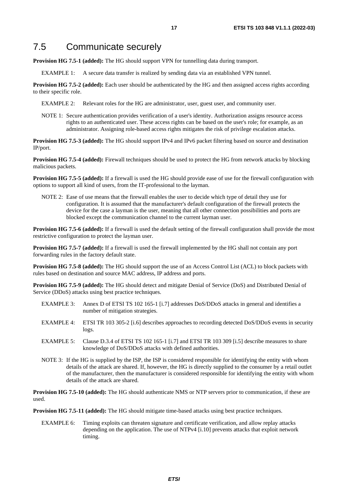### <span id="page-16-0"></span>7.5 Communicate securely

**Provision HG 7.5-1 (added):** The HG should support VPN for tunnelling data during transport.

EXAMPLE 1: A secure data transfer is realized by sending data via an established VPN tunnel.

**Provision HG 7.5-2 (added):** Each user should be authenticated by the HG and then assigned access rights according to their specific role.

EXAMPLE 2: Relevant roles for the HG are administrator, user, guest user, and community user.

NOTE 1: Secure authentication provides verification of a user's identity. Authorization assigns resource access rights to an authenticated user. These access rights can be based on the user's role; for example, as an administrator. Assigning role-based access rights mitigates the risk of privilege escalation attacks.

**Provision HG 7.5-3 (added):** The HG should support IPv4 and IPv6 packet filtering based on source and destination IP/port.

**Provision HG 7.5-4 (added):** Firewall techniques should be used to protect the HG from network attacks by blocking malicious packets.

**Provision HG 7.5-5 (added):** If a firewall is used the HG should provide ease of use for the firewall configuration with options to support all kind of users, from the IT-professional to the layman.

NOTE 2: Ease of use means that the firewall enables the user to decide which type of detail they use for configuration. It is assumed that the manufacturer's default configuration of the firewall protects the device for the case a layman is the user, meaning that all other connection possibilities and ports are blocked except the communication channel to the current layman user.

**Provision HG 7.5-6 (added):** If a firewall is used the default setting of the firewall configuration shall provide the most restrictive configuration to protect the layman user.

**Provision HG 7.5-7 (added):** If a firewall is used the firewall implemented by the HG shall not contain any port forwarding rules in the factory default state.

**Provision HG 7.5-8 (added):** The HG should support the use of an Access Control List (ACL) to block packets with rules based on destination and source MAC address, IP address and ports.

**Provision HG 7.5-9 (added):** The HG should detect and mitigate Denial of Service (DoS) and Distributed Denial of Service (DDoS) attacks using best practice techniques.

- EXAMPLE 3: Annex D of ETSI TS 102 165-1 [[i.7](#page-5-0)] addresses DoS/DDoS attacks in general and identifies a number of mitigation strategies.
- EXAMPLE 4: ETSI TR 103 305-2 [\[i.6](#page-5-0)] describes approaches to recording detected DoS/DDoS events in security logs.
- EXAMPLE 5: Clause D.3.4 of ETSI TS 102 165-1 [\[i.7](#page-5-0)] and ETSI TR 103 309 [\[i.5\]](#page-5-0) describe measures to share knowledge of DoS/DDoS attacks with defined authorities.
- NOTE 3: If the HG is supplied by the ISP, the ISP is considered responsible for identifying the entity with whom details of the attack are shared. If, however, the HG is directly supplied to the consumer by a retail outlet of the manufacturer, then the manufacturer is considered responsible for identifying the entity with whom details of the attack are shared.

**Provision HG 7.5-10 (added):** The HG should authenticate NMS or NTP servers prior to communication, if these are used.

**Provision HG 7.5-11 (added):** The HG should mitigate time-based attacks using best practice techniques.

EXAMPLE 6: Timing exploits can threaten signature and certificate verification, and allow replay attacks depending on the application. The use of NTPv4 [\[i.10](#page-5-0)] prevents attacks that exploit network timing.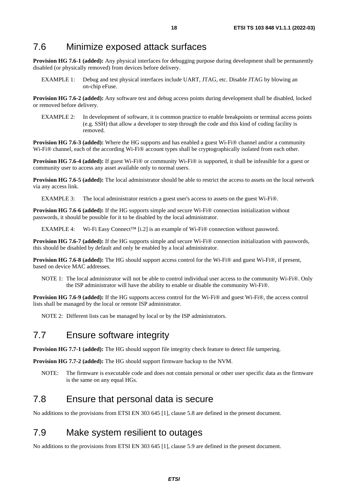### <span id="page-17-0"></span>7.6 Minimize exposed attack surfaces

**Provision HG 7.6-1 (added):** Any physical interfaces for debugging purpose during development shall be permanently disabled (or physically removed) from devices before delivery.

EXAMPLE 1: Debug and test physical interfaces include UART, JTAG, etc. Disable JTAG by blowing an on-chip eFuse.

**Provision HG 7.6-2 (added):** Any software test and debug access points during development shall be disabled, locked or removed before delivery.

EXAMPLE 2: In development of software, it is common practice to enable breakpoints or terminal access points (e.g. SSH) that allow a developer to step through the code and this kind of coding facility is removed.

**Provision HG 7.6-3 (added):** Where the HG supports and has enabled a guest Wi-Fi® channel and/or a community Wi-Fi® channel, each of the according Wi-Fi® account types shall be cryptographically isolated from each other.

**Provision HG 7.6-4 (added):** If guest Wi-Fi® or community Wi-Fi® is supported, it shall be infeasible for a guest or community user to access any asset available only to normal users.

**Provision HG 7.6-5 (added):** The local administrator should be able to restrict the access to assets on the local network via any access link.

EXAMPLE 3: The local administrator restricts a guest user's access to assets on the guest Wi-Fi®.

**Provision HG 7.6-6 (added):** If the HG supports simple and secure Wi-Fi® connection initialization without passwords, it should be possible for it to be disabled by the local administrator.

EXAMPLE 4: Wi-Fi Easy Connect™ [\[i.2](#page-4-0)] is an example of Wi-Fi® connection without password.

**Provision HG 7.6-7 (added):** If the HG supports simple and secure Wi-Fi® connection initialization with passwords, this should be disabled by default and only be enabled by a local administrator.

**Provision HG 7.6-8 (added):** The HG should support access control for the Wi-Fi® and guest Wi-Fi®, if present, based on device MAC addresses.

NOTE 1: The local administrator will not be able to control individual user access to the community Wi-Fi®. Only the ISP administrator will have the ability to enable or disable the community Wi-Fi®.

**Provision HG 7.6-9 (added):** If the HG supports access control for the Wi-Fi® and guest Wi-Fi®, the access control lists shall be managed by the local or remote ISP administrator.

NOTE 2: Different lists can be managed by local or by the ISP administrators.

### 7.7 Ensure software integrity

**Provision HG 7.7-1 (added):** The HG should support file integrity check feature to detect file tampering.

**Provision HG 7.7-2 (added):** The HG should support firmware backup to the NVM.

NOTE: The firmware is executable code and does not contain personal or other user specific data as the firmware is the same on any equal HGs.

### 7.8 Ensure that personal data is secure

No additions to the provisions from ETSI EN 303 645 [\[1](#page-4-0)], clause 5.8 are defined in the present document.

### 7.9 Make system resilient to outages

No additions to the provisions from ETSI EN 303 645 [\[1](#page-4-0)], clause 5.9 are defined in the present document.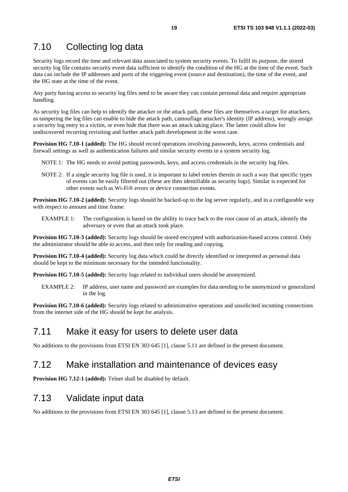### <span id="page-18-0"></span>7.10 Collecting log data

Security logs record the time and relevant data associated to system security events. To fulfil its purpose, the stored security log file contains security event data sufficient to identify the condition of the HG at the time of the event. Such data can include the IP addresses and ports of the triggering event (source and destination), the time of the event, and the HG state at the time of the event.

Any party having access to security log files need to be aware they can contain personal data and require appropriate handling.

As security log files can help to identify the attacker or the attack path, these files are themselves a target for attackers, as tampering the log files can enable to hide the attack path, camouflage attacker's identity (IP address), wrongly assign a security log entry to a victim, or even hide that there was an attack taking place. The latter could allow for undiscovered recurring revisiting and further attack path development in the worst case.

**Provision HG 7.10-1 (added):** The HG should record operations involving passwords, keys, access credentials and firewall settings as well as authentication failures and similar security events in a system security log.

NOTE 1: The HG needs to avoid putting passwords, keys, and access credentials in the security log files.

NOTE 2: If a single security log file is used, it is important to label entries therein in such a way that specific types of events can be easily filtered out (these are then identifiable as security logs). Similar is expected for other events such as Wi-Fi® errors or device connection events.

**Provision HG 7.10-2 (added):** Security logs should be backed-up to the log server regularly, and in a configurable way with respect to amount and time frame.

EXAMPLE 1: The configuration is based on the ability to trace back to the root cause of an attack, identify the adversary or even that an attack took place.

**Provision HG 7.10-3 (added):** Security logs should be stored encrypted with authorization-based access control. Only the administrator should be able to access, and then only for reading and copying.

**Provision HG 7.10-4 (added):** Security log data which could be directly identified or interpreted as personal data should be kept to the minimum necessary for the intended functionality.

**Provision HG 7.10-5 (added):** Security logs related to individual users should be anonymized.

EXAMPLE 2: IP address, user name and password are examples for data needing to be anonymized or generalized in the log.

**Provision HG 7.10-6 (added):** Security logs related to administrative operations and unsolicited incoming connections from the internet side of the HG should be kept for analysis.

### 7.11 Make it easy for users to delete user data

No additions to the provisions from ETSI EN 303 645 [\[1](#page-4-0)], clause 5.11 are defined in the present document.

### 7.12 Make installation and maintenance of devices easy

**Provision HG 7.12-1 (added):** Telnet shall be disabled by default.

### 7.13 Validate input data

No additions to the provisions from ETSI EN 303 645 [\[1](#page-4-0)], clause 5.13 are defined in the present document.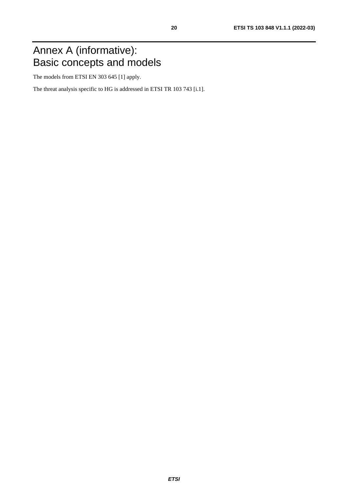# <span id="page-19-0"></span>Annex A (informative): Basic concepts and models

The models from ETSI EN 303 645 [[1\]](#page-4-0) apply.

The threat analysis specific to HG is addressed in ETSI TR 103 743 [\[i.1](#page-4-0)].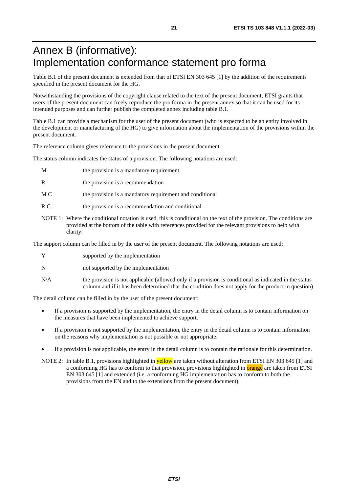# <span id="page-20-0"></span>Annex B (informative): Implementation conformance statement pro forma

Table B.1 of the present document is extended from that of ETSI EN 303 645 [\[1](#page-4-0)] by the addition of the requirements specified in the present document for the HG.

Notwithstanding the provisions of the copyright clause related to the text of the present document, ETSI grants that users of the present document can freely reproduce the pro forma in the present annex so that it can be used for its intended purposes and can further publish the completed annex including table B.1.

Table B.1 can provide a mechanism for the user of the present document (who is expected to be an entity involved in the development or manufacturing of the HG) to give information about the implementation of the provisions within the present document.

The reference column gives reference to the provisions in the present document.

The status column indicates the status of a provision. The following notations are used:

- M the provision is a mandatory requirement
- R the provision is a recommendation
- M C the provision is a mandatory requirement and conditional
- R C the provision is a recommendation and conditional
- NOTE 1: Where the conditional notation is used, this is conditional on the text of the provision. The conditions are provided at the bottom of the table with references provided for the relevant provisions to help with clarity.

The support column can be filled in by the user of the present document. The following notations are used:

|   | supported by the implementation     |
|---|-------------------------------------|
| N | not supported by the implementation |

N/A the provision is not applicable (allowed only if a provision is conditional as indicated in the status column and if it has been determined that the condition does not apply for the product in question)

The detail column can be filled in by the user of the present document:

- If a provision is supported by the implementation, the entry in the detail column is to contain information on the measures that have been implemented to achieve support.
- If a provision is not supported by the implementation, the entry in the detail column is to contain information on the reasons why implementation is not possible or not appropriate.
- If a provision is not applicable, the entry in the detail column is to contain the rationale for this determination.
- NOTE 2: In table B.1, provisions highlighted in **yellow** are taken without alteration from ETSI EN 303 645 [\[1](#page-4-0)] and a conforming HG has to conform to that provision, provisions highlighted in **orange** are taken from ETSI EN 303 645 [\[1](#page-4-0)] and extended (i.e. a conforming HG implementation has to conform to both the provisions from the EN and to the extensions from the present document).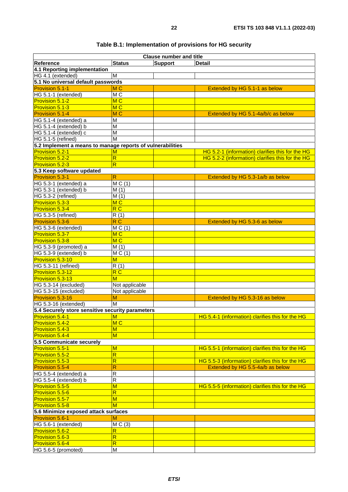|                                                            |                                     | <b>Clause number and title</b> |                                                  |
|------------------------------------------------------------|-------------------------------------|--------------------------------|--------------------------------------------------|
| Reference                                                  | <b>Status</b>                       | <b>Support</b>                 | <b>Detail</b>                                    |
| 4.1 Reporting implementation                               |                                     |                                |                                                  |
| HG 4.1 (extended)                                          | M                                   |                                |                                                  |
| 5.1 No universal default passwords                         |                                     |                                |                                                  |
| Provision 5.1-1                                            | M <sub>C</sub>                      |                                | Extended by HG 5.1-1 as below                    |
|                                                            |                                     |                                |                                                  |
| HG 5.1-1 (extended)                                        | MC                                  |                                |                                                  |
| <b>Provision 5.1-2</b>                                     | M <sub>C</sub>                      |                                |                                                  |
| Provision 5.1-3                                            | MC                                  |                                |                                                  |
| Provision 5.1-4                                            | M <sub>C</sub>                      |                                | Extended by HG 5.1-4a/b/c as below               |
| HG 5.1-4 (extended) a                                      | M                                   |                                |                                                  |
| HG 5.1-4 (extended) b                                      | $\overline{M}$                      |                                |                                                  |
| HG 5.1-4 (extended) c                                      | $\overline{M}$                      |                                |                                                  |
| HG 5.1-5 (refined)                                         | M                                   |                                |                                                  |
| 5.2 Implement a means to manage reports of vulnerabilities |                                     |                                |                                                  |
|                                                            |                                     |                                |                                                  |
| Provision 5.2-1                                            | $\overline{\mathsf{M}}$             |                                | HG 5.2-1 (information) clarifies this for the HG |
| Provision 5.2-2                                            | $\overline{\mathsf{R}}$             |                                | HG 5.2-2 (information) clarifies this for the HG |
| Provision 5.2-3                                            | $\overline{\mathsf{R}}$             |                                |                                                  |
| 5.3 Keep software updated                                  |                                     |                                |                                                  |
| <b>Provision 5.3-1</b>                                     | $\mathsf{R}$                        |                                | Extended by HG 5.3-1a/b as below                 |
| HG 5.3-1 (extended) a                                      | MC(1)                               |                                |                                                  |
| HG 5.3-1 (extended) b                                      | M(1)                                |                                |                                                  |
| HG 5.3-2 (refined)                                         | M(1)                                |                                |                                                  |
| Provision 5.3-3                                            | MC                                  |                                |                                                  |
| Provision 5.3-4                                            | $\overline{\mathsf{R}\,\mathsf{C}}$ |                                |                                                  |
|                                                            |                                     |                                |                                                  |
| HG 5.3-5 (refined)                                         | $\overline{R}(1)$                   |                                |                                                  |
| Provision 5.3-6                                            | R <sub>C</sub>                      |                                | Extended by HG 5.3-6 as below                    |
| HG 5.3-6 (extended)                                        | MC(1)                               |                                |                                                  |
| Provision 5.3-7                                            | M <sub>C</sub>                      |                                |                                                  |
| Provision 5.3-8                                            | MC                                  |                                |                                                  |
| HG 5.3-9 (promoted) a                                      | M(1)                                |                                |                                                  |
| HG 5.3-9 (extended) b                                      | MC(1)                               |                                |                                                  |
| Provision 5.3-10                                           | M                                   |                                |                                                  |
| HG 5.3-11 (refined)                                        | R(1)                                |                                |                                                  |
| Provision 5.3-12                                           | R <sub>C</sub>                      |                                |                                                  |
| Provision 5.3-13                                           | M                                   |                                |                                                  |
|                                                            |                                     |                                |                                                  |
| HG 5.3-14 (excluded)                                       | Not applicable                      |                                |                                                  |
| HG 5.3-15 (excluded)                                       | Not applicable                      |                                |                                                  |
| Provision 5.3-16                                           | M                                   |                                | Extended by HG 5.3-16 as below                   |
| HG 5.3-16 (extended)                                       | M                                   |                                |                                                  |
| 5.4 Securely store sensitive security parameters           |                                     |                                |                                                  |
| <b>Provision 5.4-1</b>                                     | M                                   |                                | HG 5.4-1 (information) clarifies this for the HG |
| Provision 5.4-2                                            | MC                                  |                                |                                                  |
| <b>Provision 5.4-3</b>                                     | M                                   |                                |                                                  |
| Provision 5.4-4                                            | $\overline{\mathsf{M}}$             |                                |                                                  |
| 5.5 Communicate securely                                   |                                     |                                |                                                  |
| <b>Provision 5.5-1</b>                                     | M                                   |                                | HG 5.5-1 (information) clarifies this for the HG |
| <b>Provision 5.5-2</b>                                     | $\overline{\mathsf{R}}$             |                                |                                                  |
|                                                            |                                     |                                |                                                  |
| Provision 5.5-3                                            | $\overline{\mathsf{R}}$             |                                | HG 5.5-3 (information) clarifies this for the HG |
| Provision 5.5-4                                            | R                                   |                                | Extended by HG 5.5-4a/b as below                 |
| HG 5.5-4 (extended) a                                      | $\mathsf{R}$                        |                                |                                                  |
| HG 5.5-4 (extended) b                                      | $\overline{R}$                      |                                |                                                  |
| Provision 5.5-5                                            | $\overline{\mathsf{M}}$             |                                | HG 5.5-5 (information) clarifies this for the HG |
| <b>Provision 5.5-6</b>                                     | $\overline{\mathsf{R}}$             |                                |                                                  |
| Provision 5.5-7                                            | M                                   |                                |                                                  |
| Provision 5.5-8                                            | M                                   |                                |                                                  |
| 5.6 Minimize exposed attack surfaces                       |                                     |                                |                                                  |
| Provision 5.6-1<br>М                                       |                                     |                                |                                                  |
| HG 5.6-1 (extended)                                        | MC(3)                               |                                |                                                  |
|                                                            |                                     |                                |                                                  |
| Provision 5.6-2                                            | $\overline{\mathsf{R}}$             |                                |                                                  |
| Provision 5.6-3                                            | $\overline{\mathsf{R}}$             |                                |                                                  |
| <b>Provision 5.6-4</b>                                     | $\overline{\mathsf{R}}$             |                                |                                                  |
| HG 5.6-5 (promoted)                                        | M                                   |                                |                                                  |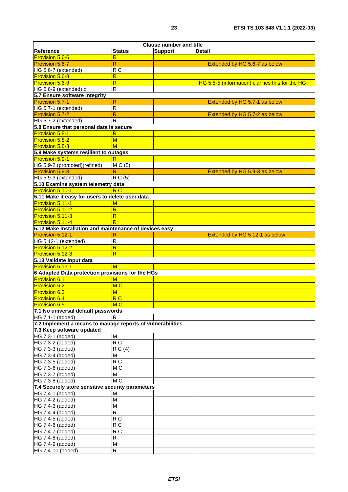|                                                            |                         | <b>Clause number and title</b> |                                                  |
|------------------------------------------------------------|-------------------------|--------------------------------|--------------------------------------------------|
| Reference                                                  | <b>Status</b>           | <b>Support</b>                 | <b>Detail</b>                                    |
| Provision 5.6-6                                            | R                       |                                |                                                  |
| Provision 5.6-7                                            | $\overline{\mathsf{R}}$ |                                | Extended by HG 5.6-7 as below                    |
| HG 5.6-7 (extended)                                        | R <sub>C</sub>          |                                |                                                  |
| <b>Provision 5.6-8</b>                                     | R                       |                                |                                                  |
| Provision 5.6-9                                            | $\overline{\mathsf{R}}$ |                                | HG 5.5-5 (information) clarifies this for the HG |
| HG 5.6-9 (extended) b                                      | $\overline{R}$          |                                |                                                  |
| 5.7 Ensure software integrity                              |                         |                                |                                                  |
| Provision 5.7-1                                            | $\mathsf{R}$            |                                | Extended by HG 5.7-1 as below                    |
| HG 5.7-1 (extended)                                        | $\overline{R}$          |                                |                                                  |
| Provision 5.7-2                                            | $\mathsf{R}$            |                                | Extended by HG 5.7-2 as below                    |
| HG 5.7-2 (extended)                                        | $\overline{R}$          |                                |                                                  |
| 5.8 Ensure that personal data is secure                    |                         |                                |                                                  |
| <b>Provision 5.8-1</b>                                     | $\overline{\mathsf{R}}$ |                                |                                                  |
| Provision 5.8-2                                            | $\overline{\mathsf{M}}$ |                                |                                                  |
| Provision 5.8-3                                            | M                       |                                |                                                  |
| 5.9 Make systems resilient to outages                      |                         |                                |                                                  |
| <b>Provision 5.9-1</b><br>HG 5.9-2 (promoted)(refined)     | R                       |                                |                                                  |
| Provision 5.9-3                                            | MC(5)                   |                                |                                                  |
| HG 5.9-3 (extended)                                        | $\mathsf{R}$<br>R C (5) |                                | Extended by HG 5.9-3 as below                    |
| 5.10 Examine system telemetry data                         |                         |                                |                                                  |
| Provision 5.10-1                                           | R C                     |                                |                                                  |
| 5.11 Make it easy for users to delete user data            |                         |                                |                                                  |
| Provision 5.11-1                                           | М                       |                                |                                                  |
| Provision 5.11-2                                           | R                       |                                |                                                  |
| Provision 5.11-3                                           | $\overline{\mathsf{R}}$ |                                |                                                  |
| Provision 5.11-4                                           | $\overline{\mathsf{R}}$ |                                |                                                  |
| 5.12 Make installation and maintenance of devices easy     |                         |                                |                                                  |
| Provision 5.12-1                                           | R                       |                                | Extended by HG 5.12-1 as below                   |
| HG 5.12-1 (extended)                                       | $\mathsf R$             |                                |                                                  |
| Provision 5.12-2                                           | $\overline{\mathsf{R}}$ |                                |                                                  |
| Provision 5.12-3                                           | R                       |                                |                                                  |
| 5.13 Validate input data                                   |                         |                                |                                                  |
| Provision 5.13-1                                           | M                       |                                |                                                  |
| 6 Adapted Data protection provisions for the HGs           |                         |                                |                                                  |
| <b>Provision 6.1</b>                                       | $\overline{\mathsf{M}}$ |                                |                                                  |
| <b>Provision 6.2</b>                                       | MC                      |                                |                                                  |
| <b>Provision 6.3</b>                                       | M                       |                                |                                                  |
| <b>Provision 6.4</b>                                       | R <sub>C</sub>          |                                |                                                  |
| <b>Provision 6.5</b>                                       | M C                     |                                |                                                  |
| 7.1 No universal default passwords                         |                         |                                |                                                  |
| HG 7.1-1 (added)                                           | $\overline{\mathbf{R}}$ |                                |                                                  |
| 7.2 Implement a means to manage reports of vulnerabilities |                         |                                |                                                  |
| 7.3 Keep software updated                                  |                         |                                |                                                  |
| HG 7.3-1 (added)                                           | M                       |                                |                                                  |
| HG 7.3-2 (added)                                           | R C                     |                                |                                                  |
| HG 7.3-3 (added)                                           | $\overline{R} C(4)$     |                                |                                                  |
| HG 7.3-4 (added)                                           | M                       |                                |                                                  |
| HG 7.3-5 (added)                                           | R <sub>C</sub>          |                                |                                                  |
| HG 7.3-6 (added)                                           | MC                      |                                |                                                  |
| HG 7.3-7 (added)                                           | M                       |                                |                                                  |
| HG 7.3-8 (added)                                           | M <sub>C</sub>          |                                |                                                  |
| 7.4 Securely store sensitive security parameters           |                         |                                |                                                  |
| HG 7.4-1 (added)                                           | M                       |                                |                                                  |
| HG 7.4-2 (added)                                           | M                       |                                |                                                  |
| HG 7.4-3 (added)                                           | M                       |                                |                                                  |
| HG 7.4-4 (added)                                           | $\overline{R}$          |                                |                                                  |
| HG 7.4-5 (added)                                           | R <sub>C</sub>          |                                |                                                  |
| HG 7.4-6 (added)                                           | R <sub>C</sub>          |                                |                                                  |
| HG 7.4-7 (added)                                           | R <sub>C</sub>          |                                |                                                  |
| HG 7.4-8 (added)                                           | $\overline{R}$<br>M     |                                |                                                  |
| HG 7.4-9 (added)<br>HG 7.4-10 (added)                      | $\overline{R}$          |                                |                                                  |
|                                                            |                         |                                |                                                  |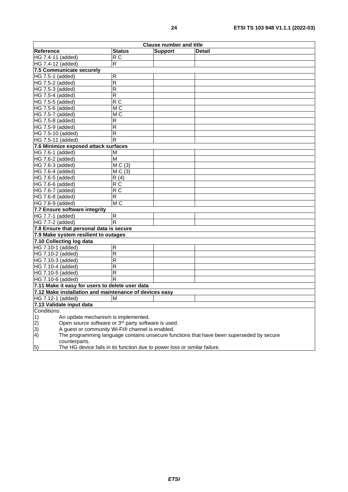| <b>Clause number and title</b>                                                                         |                         |                |               |
|--------------------------------------------------------------------------------------------------------|-------------------------|----------------|---------------|
| Reference                                                                                              | <b>Status</b>           | <b>Support</b> | <b>Detail</b> |
| HG 7.4-11 (added)                                                                                      | R <sub>C</sub>          |                |               |
| HG 7.4-12 (added)                                                                                      | $\overline{\mathsf{R}}$ |                |               |
| 7.5 Communicate securely                                                                               |                         |                |               |
| HG 7.5-1 (added)                                                                                       | R                       |                |               |
| HG 7.5-2 (added)                                                                                       | $\overline{\mathsf{R}}$ |                |               |
| HG 7.5-3 (added)                                                                                       | $\overline{\mathsf{R}}$ |                |               |
| HG 7.5-4 (added)                                                                                       | $\overline{R}$          |                |               |
| HG 7.5-5 (added)                                                                                       | R <sub>C</sub>          |                |               |
| HG 7.5-6 (added)                                                                                       | M C                     |                |               |
| HG 7.5-7 (added)                                                                                       | M <sub>C</sub>          |                |               |
| HG 7.5-8 (added)                                                                                       | R                       |                |               |
| HG 7.5-9 (added)                                                                                       | R                       |                |               |
| HG 7.5-10 (added)                                                                                      | $\overline{R}$          |                |               |
| HG 7.5-11 (added)                                                                                      | R                       |                |               |
| 7.6 Minimize exposed attack surfaces                                                                   |                         |                |               |
| HG 7.6-1 (added)                                                                                       | M                       |                |               |
| HG 7.6-2 (added)                                                                                       | M                       |                |               |
| HG 7.6-3 (added)                                                                                       | MC(3)                   |                |               |
| HG 7.6-4 (added)                                                                                       | MC(3)                   |                |               |
| HG 7.6-5 (added)                                                                                       | R(4)                    |                |               |
| HG 7.6-6 (added)                                                                                       | R C                     |                |               |
| HG 7.6-7 (added)                                                                                       | $\overline{RC}$         |                |               |
| HG 7.6-8 (added)                                                                                       | R                       |                |               |
| HG 7.6-9 (added)                                                                                       | M <sub>C</sub>          |                |               |
| 7.7 Ensure software integrity                                                                          |                         |                |               |
| HG 7.7-1 (added)                                                                                       | $\mathsf R$             |                |               |
| HG 7.7-2 (added)                                                                                       | $\overline{\mathsf{R}}$ |                |               |
| 7.8 Ensure that personal data is secure                                                                |                         |                |               |
| 7.9 Make system resilient to outages                                                                   |                         |                |               |
| 7.10 Collecting log data                                                                               |                         |                |               |
| HG 7.10-1 (added)                                                                                      | R                       |                |               |
| HG 7.10-2 (added)                                                                                      | $\overline{\mathsf{R}}$ |                |               |
| HG 7.10-3 (added)                                                                                      | $\overline{\mathsf{R}}$ |                |               |
| HG 7.10-4 (added)                                                                                      | $\overline{\mathsf{R}}$ |                |               |
| HG 7.10-5 (added)                                                                                      | R                       |                |               |
| HG 7.10-6 (added)                                                                                      | R                       |                |               |
| 7.11 Make it easy for users to delete user data                                                        |                         |                |               |
| 7.12 Make installation and maintenance of devices easy                                                 |                         |                |               |
| HG 7.12-1 (added)                                                                                      | M                       |                |               |
| 7.13 Validate input data                                                                               |                         |                |               |
| Conditions:                                                                                            |                         |                |               |
| An update mechanism is implemented.<br>1)                                                              |                         |                |               |
| Open source software or 3rd party software is used.<br>(2)                                             |                         |                |               |
| 3)<br>A guest or community Wi-Fi® channel is enabled.                                                  |                         |                |               |
| $\vert 4)$<br>The programming language contains unsecure functions that have been superseded by secure |                         |                |               |
| counterparts.                                                                                          |                         |                |               |
| The HG device fails in its function due to power loss or similar failure.<br>5)                        |                         |                |               |